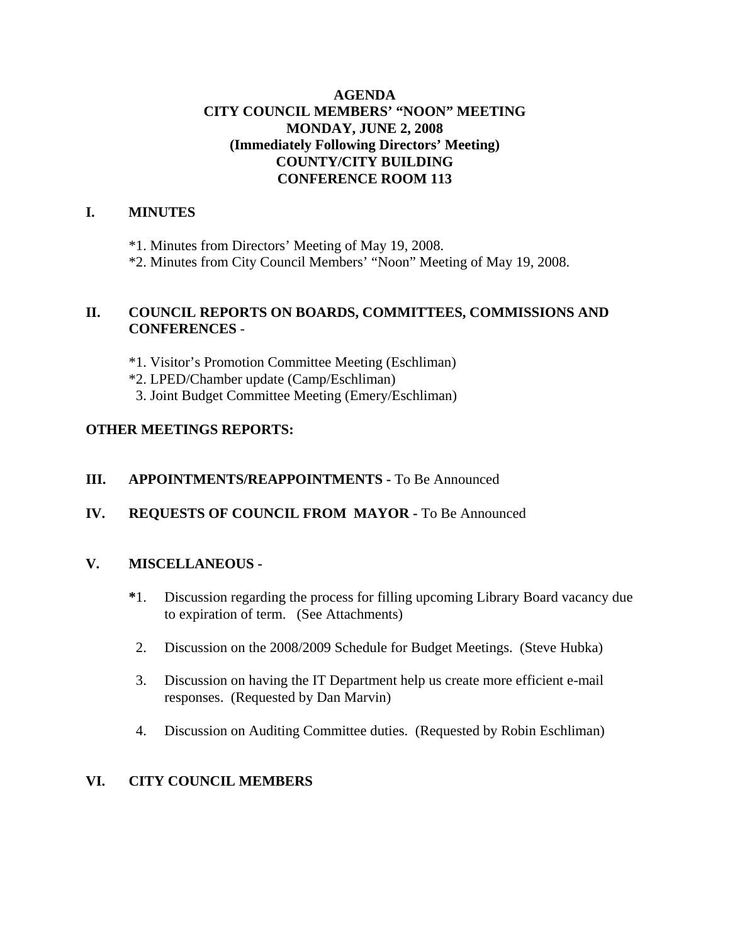### **AGENDA CITY COUNCIL MEMBERS' "NOON" MEETING MONDAY, JUNE 2, 2008 (Immediately Following Directors' Meeting) COUNTY/CITY BUILDING CONFERENCE ROOM 113**

### **I. MINUTES**

\*1. Minutes from Directors' Meeting of May 19, 2008.

\*2. Minutes from City Council Members' "Noon" Meeting of May 19, 2008.

#### **II. COUNCIL REPORTS ON BOARDS, COMMITTEES, COMMISSIONS AND CONFERENCES** -

\*1. Visitor's Promotion Committee Meeting (Eschliman)

- \*2. LPED/Chamber update (Camp/Eschliman)
- 3. Joint Budget Committee Meeting (Emery/Eschliman)

### **OTHER MEETINGS REPORTS:**

### **III.** APPOINTMENTS/REAPPOINTMENTS - To Be Announced

### **IV. REQUESTS OF COUNCIL FROM MAYOR -** To Be Announced

### **V. MISCELLANEOUS -**

- **\***1. Discussion regarding the process for filling upcoming Library Board vacancy due to expiration of term. (See Attachments)
- 2. Discussion on the 2008/2009 Schedule for Budget Meetings. (Steve Hubka)
- 3. Discussion on having the IT Department help us create more efficient e-mail responses. (Requested by Dan Marvin)
- 4. Discussion on Auditing Committee duties. (Requested by Robin Eschliman)

### **VI. CITY COUNCIL MEMBERS**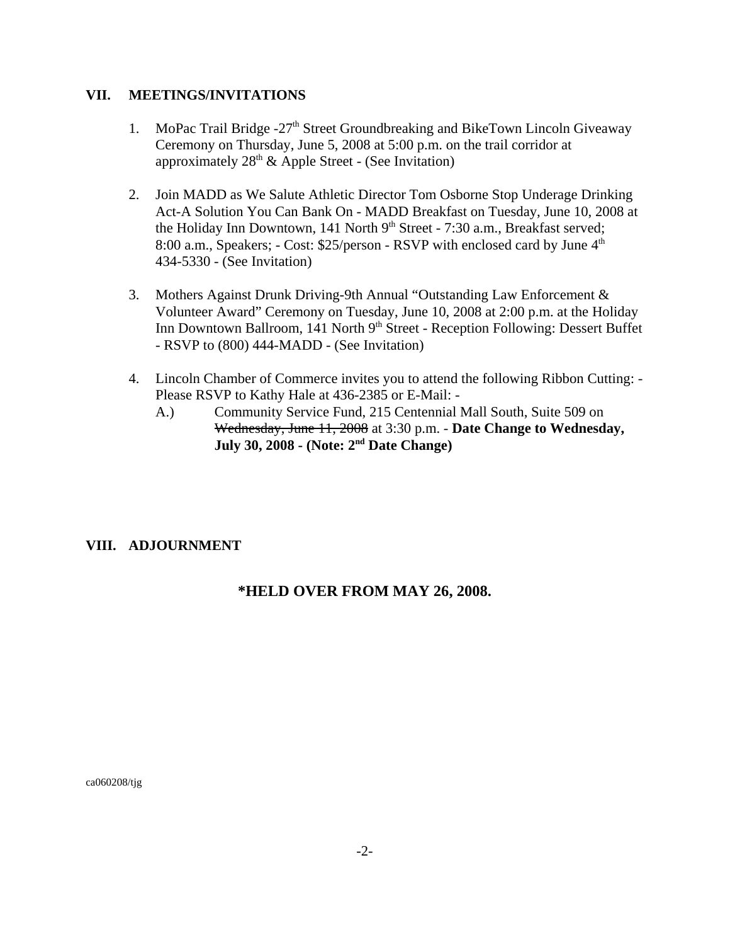#### **VII. MEETINGS/INVITATIONS**

- 1. MoPac Trail Bridge  $-27<sup>th</sup>$  Street Groundbreaking and BikeTown Lincoln Giveaway Ceremony on Thursday, June 5, 2008 at 5:00 p.m. on the trail corridor at approximately  $28<sup>th</sup>$  & Apple Street - (See Invitation)
- 2. Join MADD as We Salute Athletic Director Tom Osborne Stop Underage Drinking Act-A Solution You Can Bank On - MADD Breakfast on Tuesday, June 10, 2008 at the Holiday Inn Downtown, 141 North  $9<sup>th</sup>$  Street - 7:30 a.m., Breakfast served; 8:00 a.m., Speakers;  $-$  Cost: \$25/person  $-$  RSVP with enclosed card by June  $4<sup>th</sup>$ 434-5330 - (See Invitation)
- 3. Mothers Against Drunk Driving-9th Annual "Outstanding Law Enforcement & Volunteer Award" Ceremony on Tuesday, June 10, 2008 at 2:00 p.m. at the Holiday Inn Downtown Ballroom, 141 North 9<sup>th</sup> Street - Reception Following: Dessert Buffet - RSVP to (800) 444-MADD - (See Invitation)
- 4. Lincoln Chamber of Commerce invites you to attend the following Ribbon Cutting: Please RSVP to Kathy Hale at 436-2385 or E-Mail: -
	- A.) Community Service Fund, 215 Centennial Mall South, Suite 509 on Wednesday, June 11, 2008 at 3:30 p.m. - **Date Change to Wednesday, July 30, 2008 - (Note: 2nd Date Change)**

### **VIII. ADJOURNMENT**

### **\*HELD OVER FROM MAY 26, 2008.**

ca060208/tjg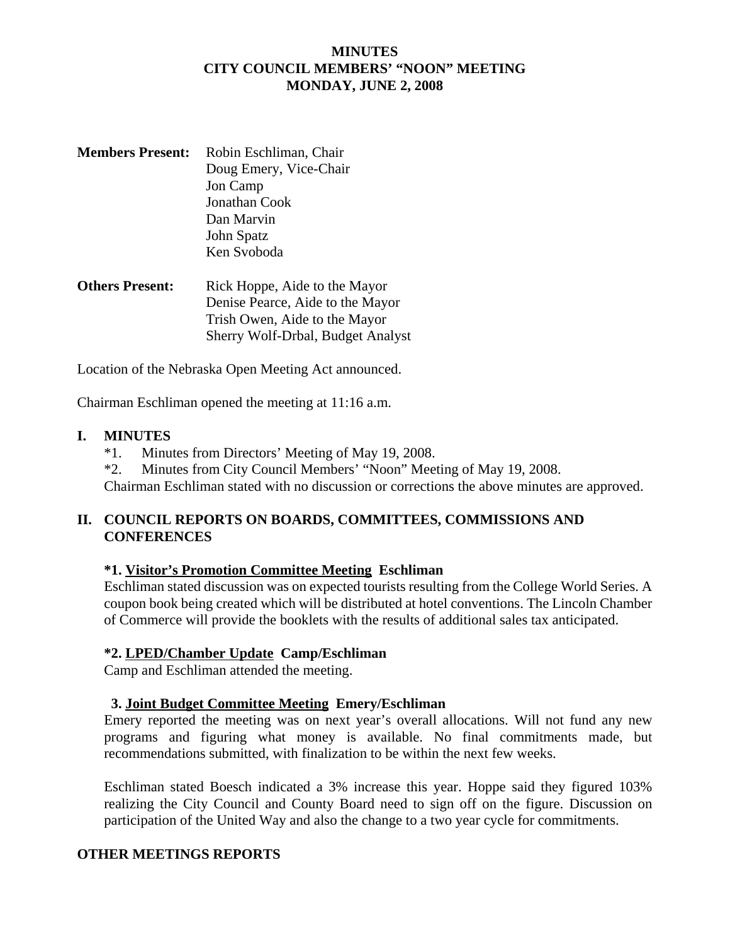#### **MINUTES CITY COUNCIL MEMBERS' "NOON" MEETING MONDAY, JUNE 2, 2008**

- **Members Present:** Robin Eschliman, Chair Doug Emery, Vice-Chair Jon Camp Jonathan Cook Dan Marvin John Spatz Ken Svoboda
- **Others Present:** Rick Hoppe, Aide to the Mayor Denise Pearce, Aide to the Mayor Trish Owen, Aide to the Mayor Sherry Wolf-Drbal, Budget Analyst

Location of the Nebraska Open Meeting Act announced.

Chairman Eschliman opened the meeting at 11:16 a.m.

#### **I. MINUTES**

- \*1. Minutes from Directors' Meeting of May 19, 2008.
- \*2. Minutes from City Council Members' "Noon" Meeting of May 19, 2008.

Chairman Eschliman stated with no discussion or corrections the above minutes are approved.

### **II. COUNCIL REPORTS ON BOARDS, COMMITTEES, COMMISSIONS AND CONFERENCES**

### **\*1. Visitor's Promotion Committee Meeting Eschliman**

Eschliman stated discussion was on expected tourists resulting from the College World Series. A coupon book being created which will be distributed at hotel conventions. The Lincoln Chamber of Commerce will provide the booklets with the results of additional sales tax anticipated.

### **\*2. LPED/Chamber Update Camp/Eschliman**

Camp and Eschliman attended the meeting.

#### **3. Joint Budget Committee Meeting Emery/Eschliman**

Emery reported the meeting was on next year's overall allocations. Will not fund any new programs and figuring what money is available. No final commitments made, but recommendations submitted, with finalization to be within the next few weeks.

Eschliman stated Boesch indicated a 3% increase this year. Hoppe said they figured 103% realizing the City Council and County Board need to sign off on the figure. Discussion on participation of the United Way and also the change to a two year cycle for commitments.

### **OTHER MEETINGS REPORTS**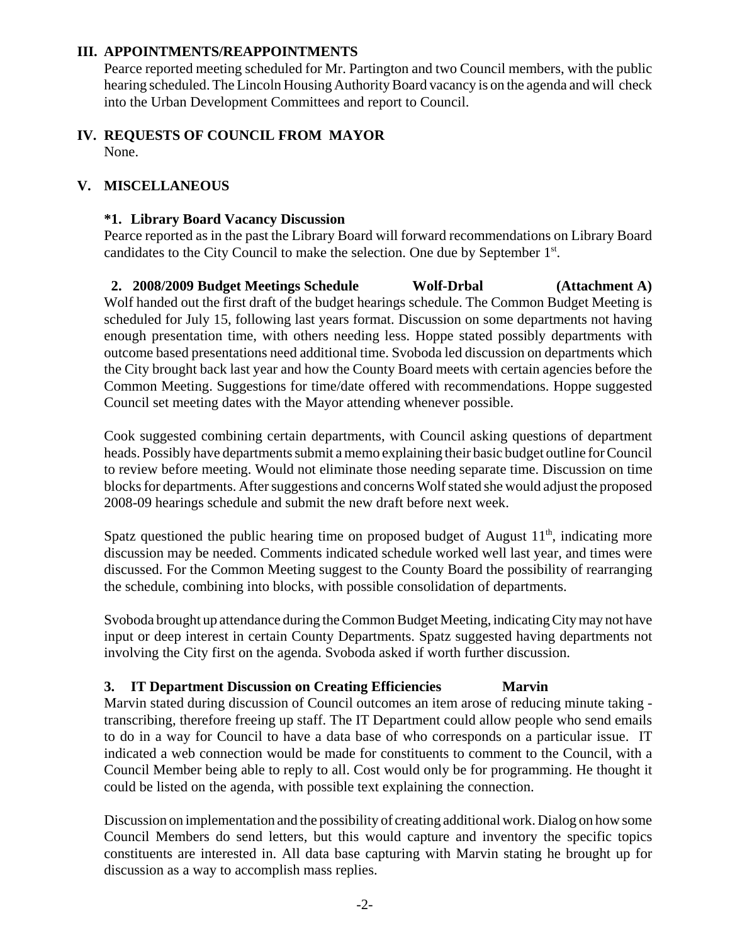#### **III. APPOINTMENTS/REAPPOINTMENTS**

Pearce reported meeting scheduled for Mr. Partington and two Council members, with the public hearing scheduled. The Lincoln Housing Authority Board vacancy is on the agenda and will check into the Urban Development Committees and report to Council.

#### **IV. REQUESTS OF COUNCIL FROM MAYOR** None.

#### **V. MISCELLANEOUS**

#### **\*1. Library Board Vacancy Discussion**

Pearce reported as in the past the Library Board will forward recommendations on Library Board candidates to the City Council to make the selection. One due by September 1<sup>st</sup>.

 **2. 2008/2009 Budget Meetings Schedule Wolf-Drbal (Attachment A)** Wolf handed out the first draft of the budget hearings schedule. The Common Budget Meeting is scheduled for July 15, following last years format. Discussion on some departments not having enough presentation time, with others needing less. Hoppe stated possibly departments with outcome based presentations need additional time. Svoboda led discussion on departments which the City brought back last year and how the County Board meets with certain agencies before the Common Meeting. Suggestions for time/date offered with recommendations. Hoppe suggested Council set meeting dates with the Mayor attending whenever possible.

Cook suggested combining certain departments, with Council asking questions of department heads. Possibly have departments submit a memo explaining their basic budget outline for Council to review before meeting. Would not eliminate those needing separate time. Discussion on time blocks for departments. After suggestions and concerns Wolf stated she would adjust the proposed 2008-09 hearings schedule and submit the new draft before next week.

Spatz questioned the public hearing time on proposed budget of August  $11<sup>th</sup>$ , indicating more discussion may be needed. Comments indicated schedule worked well last year, and times were discussed. For the Common Meeting suggest to the County Board the possibility of rearranging the schedule, combining into blocks, with possible consolidation of departments.

Svoboda brought up attendance during the Common Budget Meeting, indicating City may not have input or deep interest in certain County Departments. Spatz suggested having departments not involving the City first on the agenda. Svoboda asked if worth further discussion.

### **3. IT Department Discussion on Creating Efficiencies Marvin**

Marvin stated during discussion of Council outcomes an item arose of reducing minute taking transcribing, therefore freeing up staff. The IT Department could allow people who send emails to do in a way for Council to have a data base of who corresponds on a particular issue. IT indicated a web connection would be made for constituents to comment to the Council, with a Council Member being able to reply to all. Cost would only be for programming. He thought it could be listed on the agenda, with possible text explaining the connection.

Discussion on implementation and the possibility of creating additional work. Dialog on how some Council Members do send letters, but this would capture and inventory the specific topics constituents are interested in. All data base capturing with Marvin stating he brought up for discussion as a way to accomplish mass replies.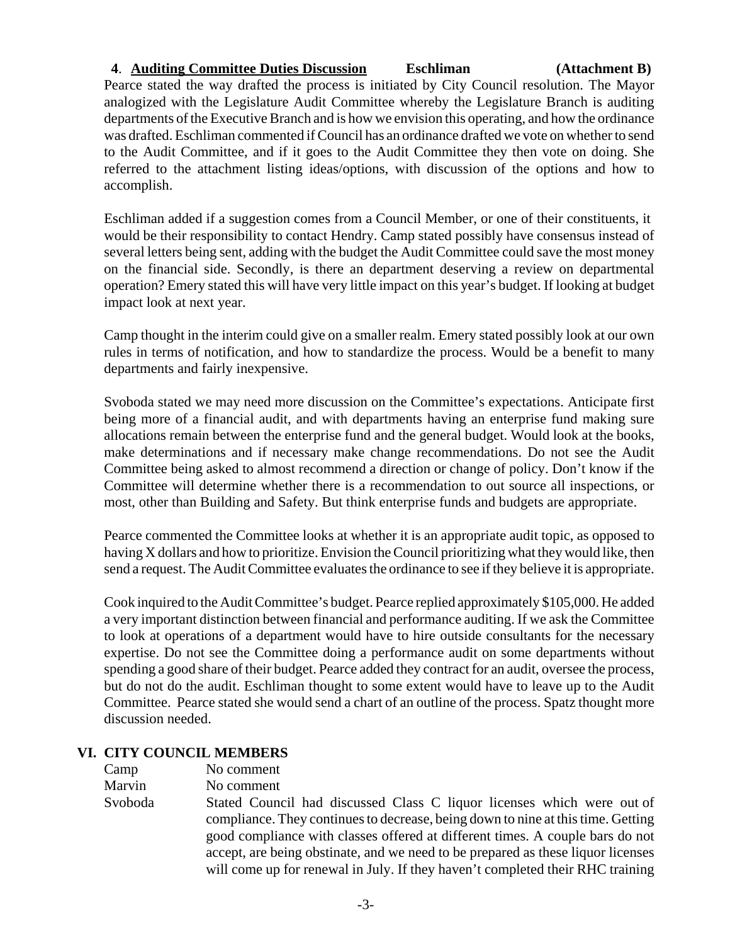#### **4**. **Auditing Committee Duties Discussion Eschliman (Attachment B)**

Pearce stated the way drafted the process is initiated by City Council resolution. The Mayor analogized with the Legislature Audit Committee whereby the Legislature Branch is auditing departments of the Executive Branch and is how we envision this operating, and how the ordinance was drafted. Eschliman commented if Council has an ordinance drafted we vote on whether to send to the Audit Committee, and if it goes to the Audit Committee they then vote on doing. She referred to the attachment listing ideas/options, with discussion of the options and how to accomplish.

Eschliman added if a suggestion comes from a Council Member, or one of their constituents, it would be their responsibility to contact Hendry. Camp stated possibly have consensus instead of several letters being sent, adding with the budget the Audit Committee could save the most money on the financial side. Secondly, is there an department deserving a review on departmental operation? Emery stated this will have very little impact on this year's budget. If looking at budget impact look at next year.

Camp thought in the interim could give on a smaller realm. Emery stated possibly look at our own rules in terms of notification, and how to standardize the process. Would be a benefit to many departments and fairly inexpensive.

Svoboda stated we may need more discussion on the Committee's expectations. Anticipate first being more of a financial audit, and with departments having an enterprise fund making sure allocations remain between the enterprise fund and the general budget. Would look at the books, make determinations and if necessary make change recommendations. Do not see the Audit Committee being asked to almost recommend a direction or change of policy. Don't know if the Committee will determine whether there is a recommendation to out source all inspections, or most, other than Building and Safety. But think enterprise funds and budgets are appropriate.

Pearce commented the Committee looks at whether it is an appropriate audit topic, as opposed to having X dollars and how to prioritize. Envision the Council prioritizing what they would like, then send a request. The Audit Committee evaluates the ordinance to see if they believe it is appropriate.

Cook inquired to the Audit Committee's budget. Pearce replied approximately \$105,000. He added a very important distinction between financial and performance auditing. If we ask the Committee to look at operations of a department would have to hire outside consultants for the necessary expertise. Do not see the Committee doing a performance audit on some departments without spending a good share of their budget. Pearce added they contract for an audit, oversee the process, but do not do the audit. Eschliman thought to some extent would have to leave up to the Audit Committee. Pearce stated she would send a chart of an outline of the process. Spatz thought more discussion needed.

### **VI. CITY COUNCIL MEMBERS**

| No comment                                                                                                                                                                                                                                          |
|-----------------------------------------------------------------------------------------------------------------------------------------------------------------------------------------------------------------------------------------------------|
|                                                                                                                                                                                                                                                     |
| Stated Council had discussed Class C liquor licenses which were out of<br>compliance. They continues to decrease, being down to nine at this time. Getting                                                                                          |
| good compliance with classes offered at different times. A couple bars do not<br>accept, are being obstinate, and we need to be prepared as these liquor licenses<br>will come up for renewal in July. If they haven't completed their RHC training |
|                                                                                                                                                                                                                                                     |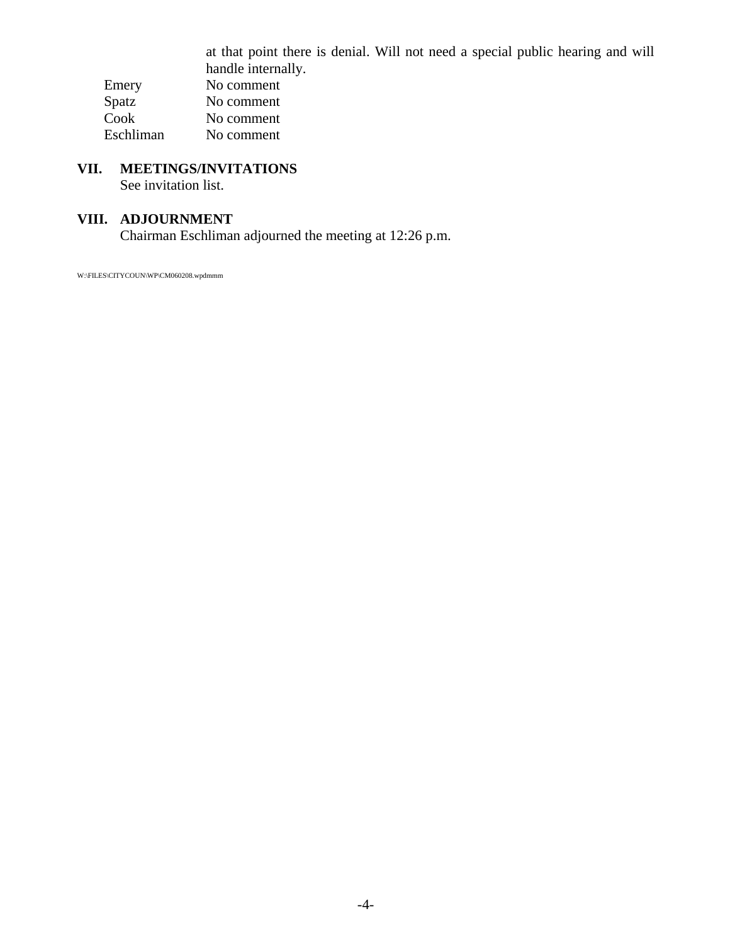at that point there is denial. Will not need a special public hearing and will handle internally. Emery No comment<br>Spatz No comment No comment Cook No comment Eschliman No comment

# **VII. MEETINGS/INVITATIONS**

See invitation list.

## **VIII. ADJOURNMENT**

Chairman Eschliman adjourned the meeting at 12:26 p.m.

W:\FILES\CITYCOUN\WP\CM060208.wpdmmm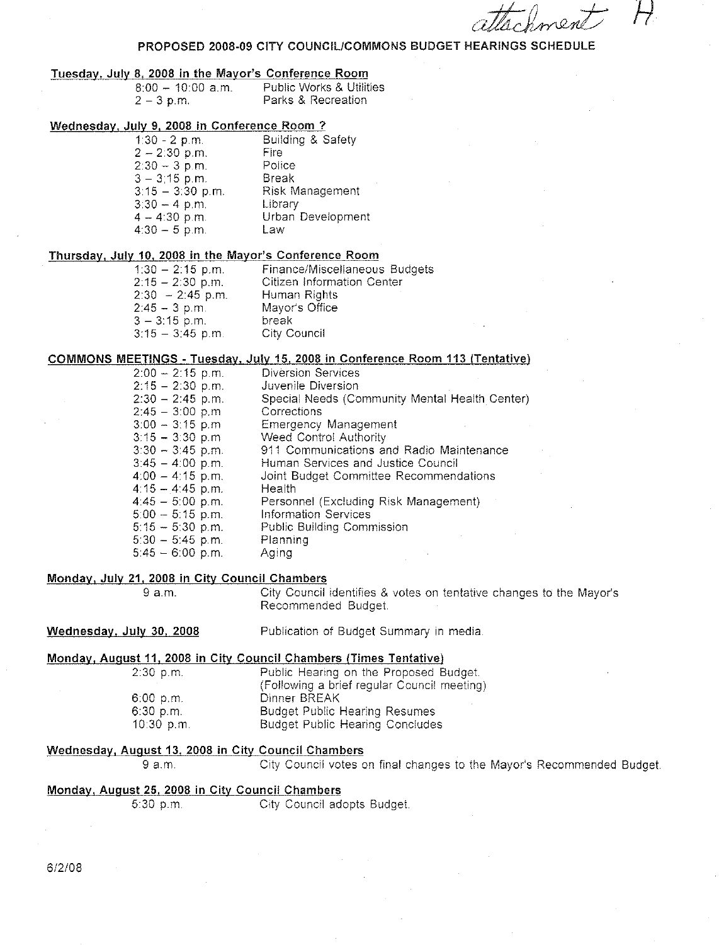#### PROPOSED 2008-09 CITY COUNCIL/COMMONS BUDGET HEARINGS SCHEDULE

#### Tuesday, July 8, 2008 in the Mayor's Conference Room

| $8:00 - 10:00$ a.m. | <b>Public Works &amp; Utilities</b> |
|---------------------|-------------------------------------|
| $2 - 3$ p.m.        | Parks & Recreation                  |

#### Wednesday, July 9, 2008 in Conference Room ?

| $1:30 - 2$ p.m.    | <b>Building &amp; Safety</b> |
|--------------------|------------------------------|
| $2 - 2:30$ p.m.    | Fire                         |
| $2:30 - 3$ p.m.    | Police                       |
| $3 - 3;15$ p.m.    | Break                        |
| $3:15 - 3:30$ p.m. | <b>Risk Management</b>       |
| $3:30 - 4$ p.m.    | Library                      |
| $4 - 4:30$ p.m.    | Urban Development            |
| $4:30 - 5$ p.m.    | Law                          |
|                    |                              |

#### Thursday, July 10, 2008 in the Mayor's Conference Room

| Finance/Miscellaneous Budgets |
|-------------------------------|
| Citizen Information Center    |
| Human Rights                  |
| Mayor's Office                |
| break                         |
| City Council                  |
|                               |

#### COMMONS MEETINGS - Tuesday, July 15, 2008 in Conference Room 113 (Tentative)

| $2:00 - 2:15$ p.m. | <b>Diversion Services</b>                      |
|--------------------|------------------------------------------------|
| $2:15 - 2:30$ p.m. | Juvenile Diversion                             |
| $2:30 - 2:45$ p.m. | Special Needs (Community Mental Health Center) |
| $2:45 - 3:00$ p.m. | Corrections                                    |
| $3:00 - 3:15$ p.m. | Emergency Management                           |
| $3:15 - 3:30$ p.m  | Weed Control Authority                         |
| $3:30 - 3:45$ p.m. | 911 Communications and Radio Maintenance       |
| $3:45 - 4:00$ p.m. | Human Services and Justice Council             |
| $4:00 - 4:15$ p.m. | Joint Budget Committee Recommendations         |
| $4:15 - 4:45$ p.m. | Health                                         |
| $4:45-5:00$ p.m.   | Personnel (Excluding Risk Management)          |
| $5:00 - 5:15$ p.m. | <b>Information Services</b>                    |
| $5:15 - 5:30$ p.m. | Public Building Commission                     |
| $5:30 - 5:45$ p.m. | Planning                                       |
| $5:45 - 6:00$ p.m. | Agina                                          |

#### Monday, July 21, 2008 in City Council Chambers

9 a.m.

City Council identifies & votes on tentative changes to the Mayor's Recommended Budget.

#### Wednesday, July 30, 2008 Publication of Budget Summary in media.

#### Monday, August 11, 2008 in City Council Chambers (Times Tentative)

| $2:30$ p.m.  | Public Hearing on the Proposed Budget.      |
|--------------|---------------------------------------------|
|              | (Following a brief regular Council meeting) |
| 6:00 p.m.    | Dinner BREAK                                |
| $6:30$ p.m.  | <b>Budget Public Hearing Resumes</b>        |
| $10.30$ p.m. | <b>Budget Public Hearing Concludes</b>      |

#### Wednesday, August 13, 2008 in City Council Chambers

9 a.m. City Council votes on final changes to the Mayor's Recommended Budget.

#### Monday, August 25, 2008 in City Council Chambers

City Council adopts Budget.  $5:30 p.m.$